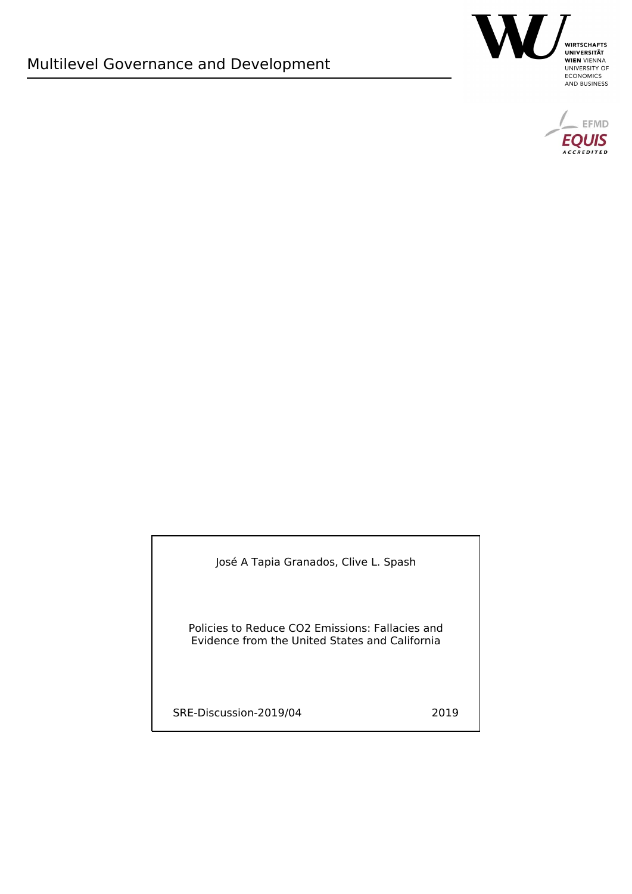



José A Tapia Granados, Clive L. Spash

Policies to Reduce CO2 Emissions: Fallacies and Evidence from the United States and California

SRE-Discussion-2019/04 2019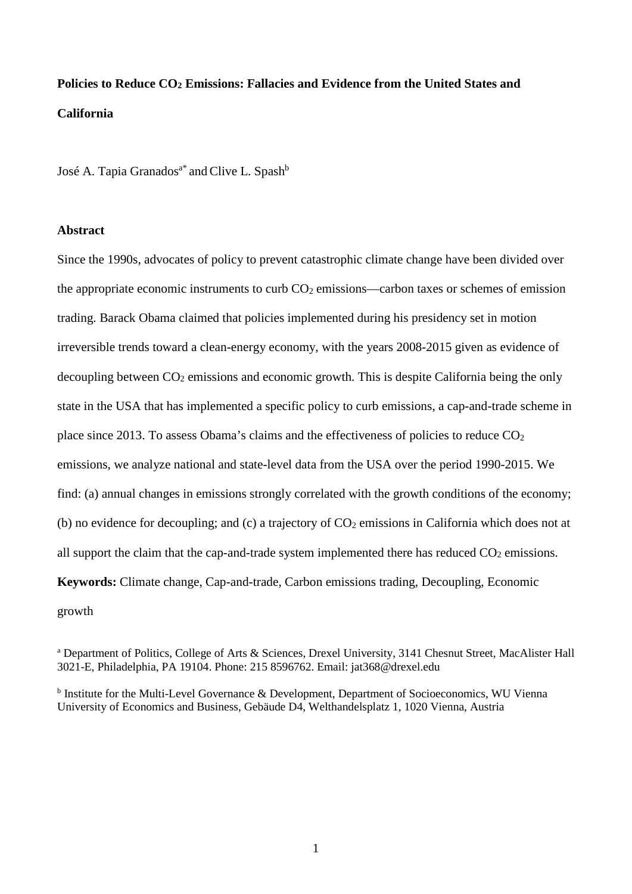# **Policies to Reduce CO2 Emissions: Fallacies and Evidence from the United States and California**

José A. Tapia Granados<sup>a\*</sup> and Clive L. Spash<sup>b</sup>

# **Abstract**

Since the 1990s, advocates of policy to prevent catastrophic climate change have been divided over the appropriate economic instruments to curb  $CO<sub>2</sub>$  emissions—carbon taxes or schemes of emission trading. Barack Obama claimed that policies implemented during his presidency set in motion irreversible trends toward a clean-energy economy, with the years 2008-2015 given as evidence of decoupling between  $CO_2$  emissions and economic growth. This is despite California being the only state in the USA that has implemented a specific policy to curb emissions, a cap-and-trade scheme in place since 2013. To assess Obama's claims and the effectiveness of policies to reduce  $CO<sub>2</sub>$ emissions, we analyze national and state-level data from the USA over the period 1990-2015. We find: (a) annual changes in emissions strongly correlated with the growth conditions of the economy; (b) no evidence for decoupling; and (c) a trajectory of  $CO<sub>2</sub>$  emissions in California which does not at all support the claim that the cap-and-trade system implemented there has reduced  $CO<sub>2</sub>$  emissions. **Keywords:** Climate change, Cap-and-trade, Carbon emissions trading, Decoupling, Economic growth

<sup>a</sup> Department of Politics, College of Arts & Sciences, Drexel University, 3141 Chesnut Street, MacAlister Hall 3021-E, Philadelphia, PA 19104. Phone: 215 8596762. Email: jat368@drexel.edu

<sup>b</sup> Institute for the Multi-Level Governance & Development, Department of Socioeconomics, WU Vienna University of Economics and Business, Gebäude D4, Welthandelsplatz 1, 1020 Vienna, Austria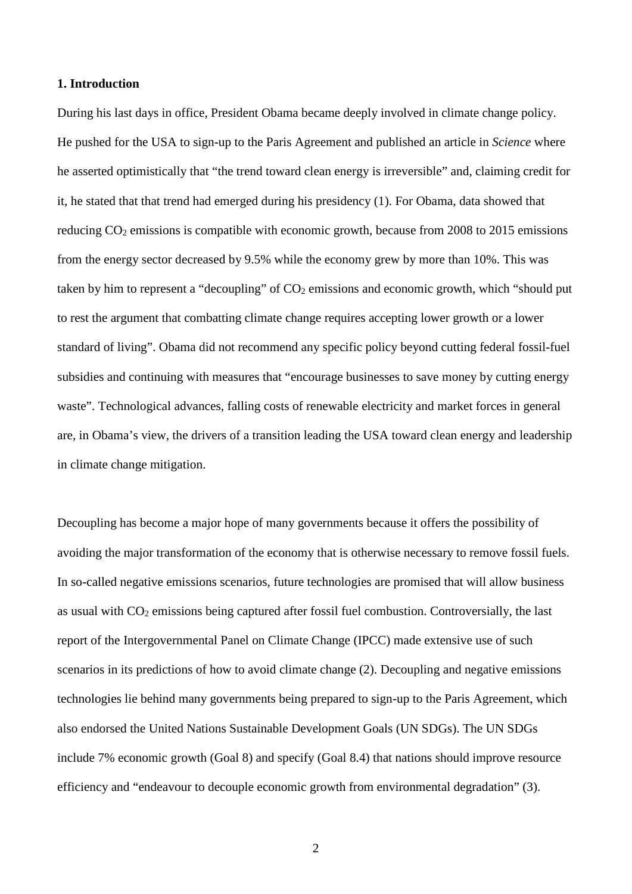#### **1. Introduction**

During his last days in office, President Obama became deeply involved in climate change policy. He pushed for the USA to sign-up to the Paris Agreement and published an article in *Science* where he asserted optimistically that "the trend toward clean energy is irreversible" and, claiming credit for it, he stated that that trend had emerged during his presidency (1). For Obama, data showed that reducing  $CO<sub>2</sub>$  emissions is compatible with economic growth, because from 2008 to 2015 emissions from the energy sector decreased by 9.5% while the economy grew by more than 10%. This was taken by him to represent a "decoupling" of  $CO<sub>2</sub>$  emissions and economic growth, which "should put to rest the argument that combatting climate change requires accepting lower growth or a lower standard of living". Obama did not recommend any specific policy beyond cutting federal fossil-fuel subsidies and continuing with measures that "encourage businesses to save money by cutting energy waste". Technological advances, falling costs of renewable electricity and market forces in general are, in Obama's view, the drivers of a transition leading the USA toward clean energy and leadership in climate change mitigation.

Decoupling has become a major hope of many governments because it offers the possibility of avoiding the major transformation of the economy that is otherwise necessary to remove fossil fuels. In so-called negative emissions scenarios, future technologies are promised that will allow business as usual with  $CO<sub>2</sub>$  emissions being captured after fossil fuel combustion. Controversially, the last report of the Intergovernmental Panel on Climate Change (IPCC) made extensive use of such scenarios in its predictions of how to avoid climate change (2). Decoupling and negative emissions technologies lie behind many governments being prepared to sign-up to the Paris Agreement, which also endorsed the United Nations Sustainable Development Goals (UN SDGs). The UN SDGs include 7% economic growth (Goal 8) and specify (Goal 8.4) that nations should improve resource efficiency and "endeavour to decouple economic growth from environmental degradation" (3).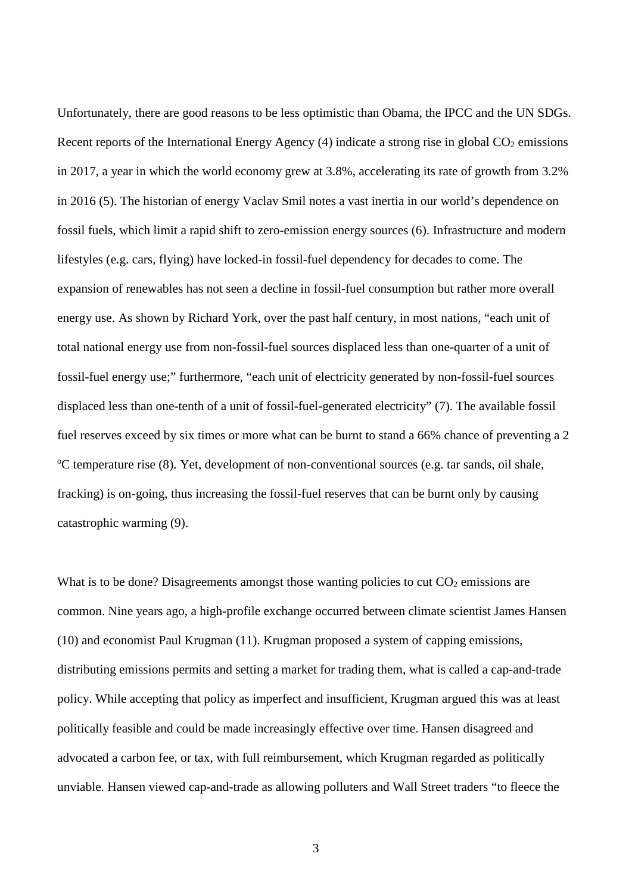Unfortunately, there are good reasons to be less optimistic than Obama, the IPCC and the UN SDGs. Recent reports of the International Energy Agency  $(4)$  indicate a strong rise in global  $CO<sub>2</sub>$  emissions in 2017, a year in which the world economy grew at 3.8%, accelerating its rate of growth from 3.2% in 2016 (5). The historian of energy Vaclav Smil notes a vast inertia in our world's dependence on fossil fuels, which limit a rapid shift to zero-emission energy sources (6). Infrastructure and modern lifestyles (e.g. cars, flying) have locked-in fossil-fuel dependency for decades to come. The expansion of renewables has not seen a decline in fossil-fuel consumption but rather more overall energy use. As shown by Richard York, over the past half century, in most nations, "each unit of total national energy use from non-fossil-fuel sources displaced less than one-quarter of a unit of fossil-fuel energy use;" furthermore, "each unit of electricity generated by non-fossil-fuel sources displaced less than one-tenth of a unit of fossil-fuel-generated electricity" (7). The available fossil fuel reserves exceed by six times or more what can be burnt to stand a 66% chance of preventing a 2 <sup>o</sup>C temperature rise (8). Yet, development of non-conventional sources (e.g. tar sands, oil shale, fracking) is on-going, thus increasing the fossil-fuel reserves that can be burnt only by causing catastrophic warming (9).

What is to be done? Disagreements amongst those wanting policies to cut  $CO<sub>2</sub>$  emissions are common. Nine years ago, a high-profile exchange occurred between climate scientist James Hansen (10) and economist Paul Krugman (11). Krugman proposed a system of capping emissions, distributing emissions permits and setting a market for trading them, what is called a cap-and-trade policy. While accepting that policy as imperfect and insufficient, Krugman argued this was at least politically feasible and could be made increasingly effective over time. Hansen disagreed and advocated a carbon fee, or tax, with full reimbursement, which Krugman regarded as politically unviable. Hansen viewed cap-and-trade as allowing polluters and Wall Street traders "to fleece the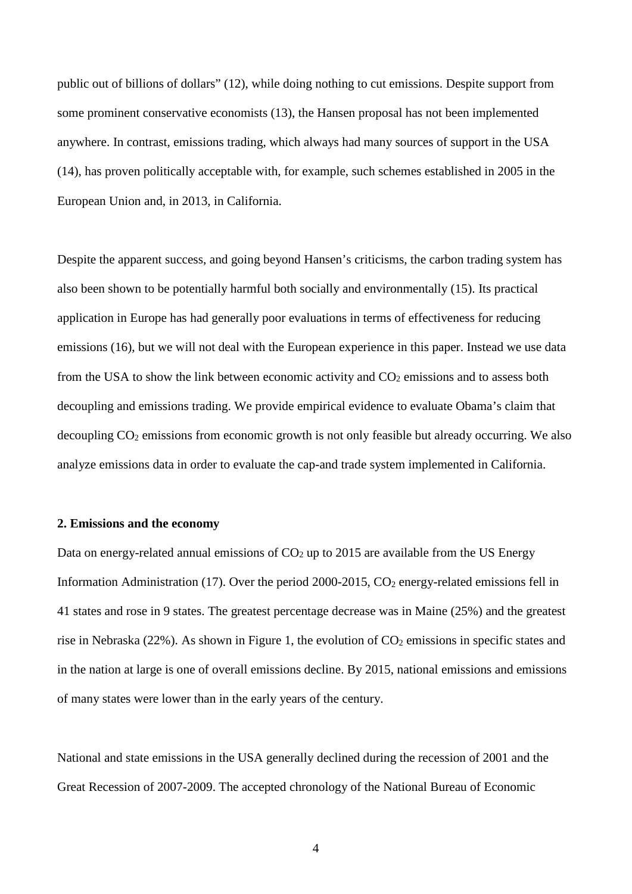public out of billions of dollars" (12), while doing nothing to cut emissions. Despite support from some prominent conservative economists (13), the Hansen proposal has not been implemented anywhere. In contrast, emissions trading, which always had many sources of support in the USA (14), has proven politically acceptable with, for example, such schemes established in 2005 in the European Union and, in 2013, in California.

Despite the apparent success, and going beyond Hansen's criticisms, the carbon trading system has also been shown to be potentially harmful both socially and environmentally (15). Its practical application in Europe has had generally poor evaluations in terms of effectiveness for reducing emissions (16), but we will not deal with the European experience in this paper. Instead we use data from the USA to show the link between economic activity and  $CO<sub>2</sub>$  emissions and to assess both decoupling and emissions trading. We provide empirical evidence to evaluate Obama's claim that decoupling CO<sub>2</sub> emissions from economic growth is not only feasible but already occurring. We also analyze emissions data in order to evaluate the cap-and trade system implemented in California.

#### **2. Emissions and the economy**

Data on energy-related annual emissions of  $CO<sub>2</sub>$  up to 2015 are available from the US Energy Information Administration (17). Over the period 2000-2015,  $CO<sub>2</sub>$  energy-related emissions fell in 41 states and rose in 9 states. The greatest percentage decrease was in Maine (25%) and the greatest rise in Nebraska  $(22\%)$ . As shown in Figure 1, the evolution of  $CO<sub>2</sub>$  emissions in specific states and in the nation at large is one of overall emissions decline. By 2015, national emissions and emissions of many states were lower than in the early years of the century.

National and state emissions in the USA generally declined during the recession of 2001 and the Great Recession of 2007-2009. The accepted chronology of the National Bureau of Economic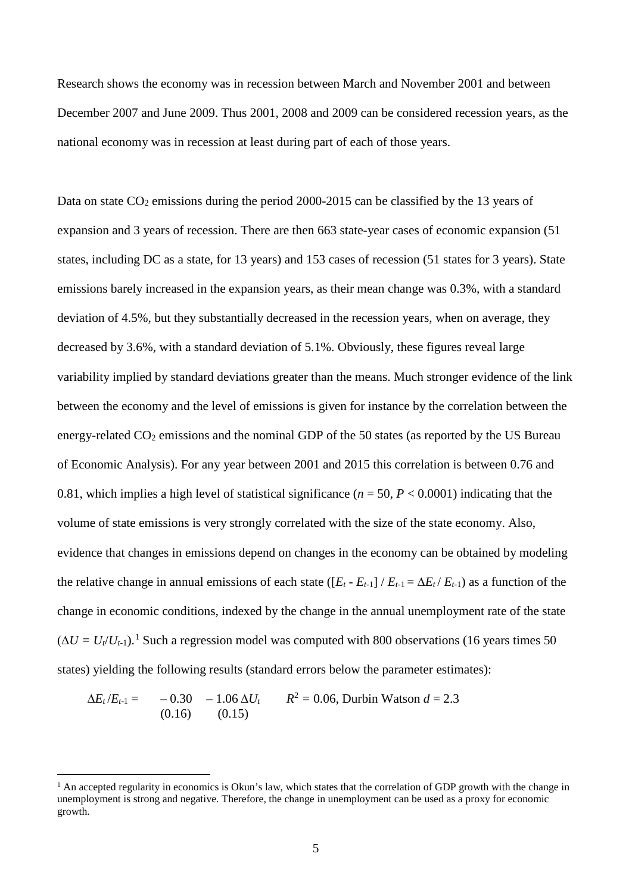Research shows the economy was in recession between March and November 2001 and between December 2007 and June 2009. Thus 2001, 2008 and 2009 can be considered recession years, as the national economy was in recession at least during part of each of those years.

Data on state  $CO<sub>2</sub>$  emissions during the period 2000-2015 can be classified by the 13 years of expansion and 3 years of recession. There are then 663 state-year cases of economic expansion (51 states, including DC as a state, for 13 years) and 153 cases of recession (51 states for 3 years). State emissions barely increased in the expansion years, as their mean change was 0.3%, with a standard deviation of 4.5%, but they substantially decreased in the recession years, when on average, they decreased by 3.6%, with a standard deviation of 5.1%. Obviously, these figures reveal large variability implied by standard deviations greater than the means. Much stronger evidence of the link between the economy and the level of emissions is given for instance by the correlation between the energy-related  $CO<sub>2</sub>$  emissions and the nominal GDP of the 50 states (as reported by the US Bureau of Economic Analysis). For any year between 2001 and 2015 this correlation is between 0.76 and 0.81, which implies a high level of statistical significance  $(n = 50, P < 0.0001)$  indicating that the volume of state emissions is very strongly correlated with the size of the state economy. Also, evidence that changes in emissions depend on changes in the economy can be obtained by modeling the relative change in annual emissions of each state  $([E_t - E_{t-1}]/E_{t-1} = \Delta E_t / E_{t-1}$ ) as a function of the change in economic conditions, indexed by the change in the annual unemployment rate of the state  $(\Delta U = U_t/U_{t-1})$  $(\Delta U = U_t/U_{t-1})$  $(\Delta U = U_t/U_{t-1})$ .<sup>1</sup> Such a regression model was computed with 800 observations (16 years times 50) states) yielding the following results (standard errors below the parameter estimates):

$$
\Delta E_t / E_{t-1} = -0.30 -1.06 \Delta U_t \qquad R^2 = 0.06, \text{ Durbin Watson } d = 2.3
$$
  
(0.16) (0.15)

<span id="page-6-0"></span> $<sup>1</sup>$  An accepted regularity in economics is Okun's law, which states that the correlation of GDP growth with the change in</sup> unemployment is strong and negative. Therefore, the change in unemployment can be used as a proxy for economic growth.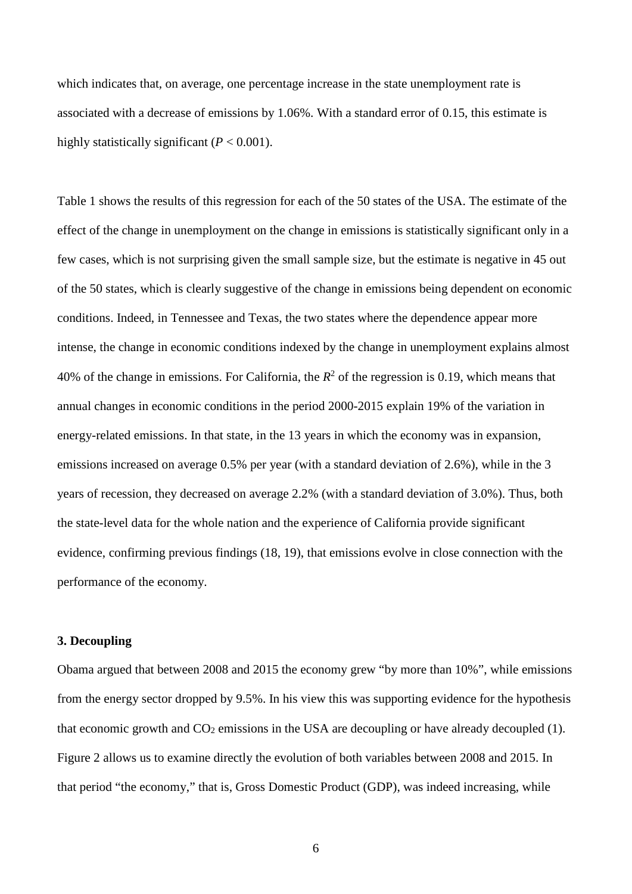which indicates that, on average, one percentage increase in the state unemployment rate is associated with a decrease of emissions by 1.06%. With a standard error of 0.15, this estimate is highly statistically significant  $(P < 0.001)$ .

Table 1 shows the results of this regression for each of the 50 states of the USA. The estimate of the effect of the change in unemployment on the change in emissions is statistically significant only in a few cases, which is not surprising given the small sample size, but the estimate is negative in 45 out of the 50 states, which is clearly suggestive of the change in emissions being dependent on economic conditions. Indeed, in Tennessee and Texas, the two states where the dependence appear more intense, the change in economic conditions indexed by the change in unemployment explains almost 40% of the change in emissions. For California, the  $R^2$  of the regression is 0.19, which means that annual changes in economic conditions in the period 2000-2015 explain 19% of the variation in energy-related emissions. In that state, in the 13 years in which the economy was in expansion, emissions increased on average 0.5% per year (with a standard deviation of 2.6%), while in the 3 years of recession, they decreased on average 2.2% (with a standard deviation of 3.0%). Thus, both the state-level data for the whole nation and the experience of California provide significant evidence, confirming previous findings (18, 19), that emissions evolve in close connection with the performance of the economy.

## **3. Decoupling**

Obama argued that between 2008 and 2015 the economy grew "by more than 10%", while emissions from the energy sector dropped by 9.5%. In his view this was supporting evidence for the hypothesis that economic growth and  $CO<sub>2</sub>$  emissions in the USA are decoupling or have already decoupled (1). Figure 2 allows us to examine directly the evolution of both variables between 2008 and 2015. In that period "the economy," that is, Gross Domestic Product (GDP), was indeed increasing, while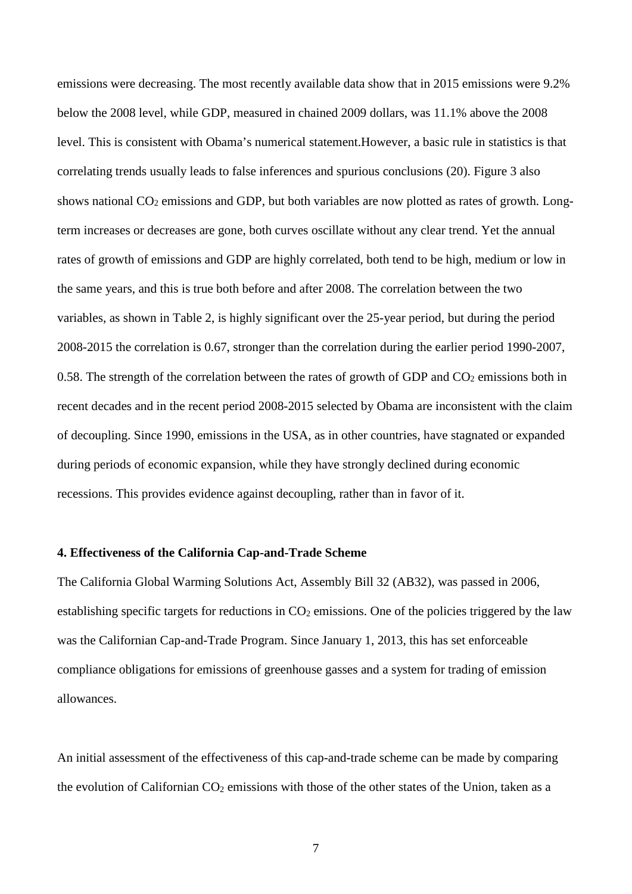emissions were decreasing. The most recently available data show that in 2015 emissions were 9.2% below the 2008 level, while GDP, measured in chained 2009 dollars, was 11.1% above the 2008 level. This is consistent with Obama's numerical statement.However, a basic rule in statistics is that correlating trends usually leads to false inferences and spurious conclusions (20). Figure 3 also shows national CO<sub>2</sub> emissions and GDP, but both variables are now plotted as rates of growth. Longterm increases or decreases are gone, both curves oscillate without any clear trend. Yet the annual rates of growth of emissions and GDP are highly correlated, both tend to be high, medium or low in the same years, and this is true both before and after 2008. The correlation between the two variables, as shown in Table 2, is highly significant over the 25-year period, but during the period 2008-2015 the correlation is 0.67, stronger than the correlation during the earlier period 1990-2007, 0.58. The strength of the correlation between the rates of growth of GDP and  $CO<sub>2</sub>$  emissions both in recent decades and in the recent period 2008-2015 selected by Obama are inconsistent with the claim of decoupling. Since 1990, emissions in the USA, as in other countries, have stagnated or expanded during periods of economic expansion, while they have strongly declined during economic recessions. This provides evidence against decoupling, rather than in favor of it.

# **4. Effectiveness of the California Cap-and-Trade Scheme**

The California Global Warming Solutions Act, Assembly Bill 32 (AB32), was passed in 2006, establishing specific targets for reductions in  $CO<sub>2</sub>$  emissions. One of the policies triggered by the law was the Californian Cap-and-Trade Program. Since January 1, 2013, this has set enforceable compliance obligations for emissions of greenhouse gasses and a system for trading of emission allowances.

An initial assessment of the effectiveness of this cap-and-trade scheme can be made by comparing the evolution of Californian  $CO<sub>2</sub>$  emissions with those of the other states of the Union, taken as a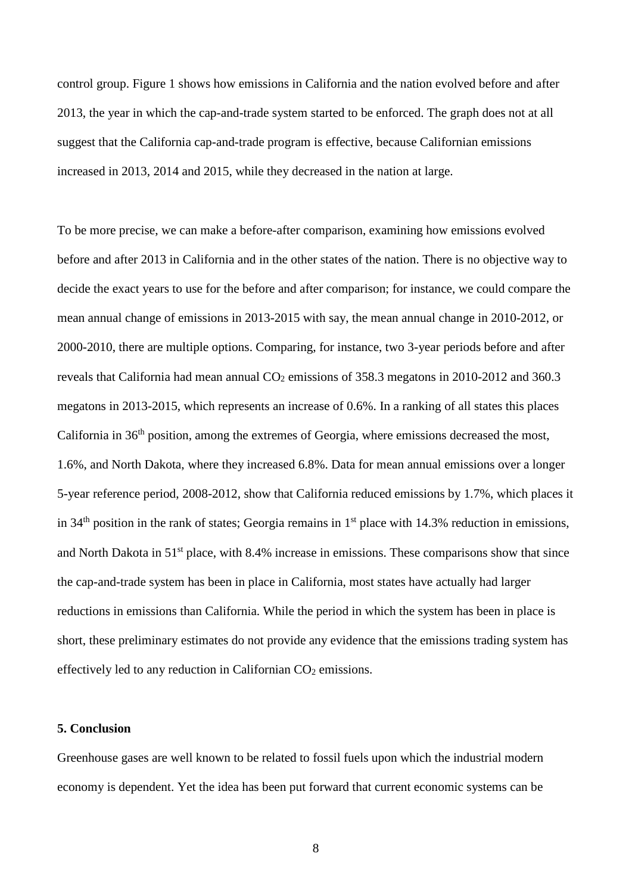control group. Figure 1 shows how emissions in California and the nation evolved before and after 2013, the year in which the cap-and-trade system started to be enforced. The graph does not at all suggest that the California cap-and-trade program is effective, because Californian emissions increased in 2013, 2014 and 2015, while they decreased in the nation at large.

To be more precise, we can make a before-after comparison, examining how emissions evolved before and after 2013 in California and in the other states of the nation. There is no objective way to decide the exact years to use for the before and after comparison; for instance, we could compare the mean annual change of emissions in 2013-2015 with say, the mean annual change in 2010-2012, or 2000-2010, there are multiple options. Comparing, for instance, two 3-year periods before and after reveals that California had mean annual  $CO<sub>2</sub>$  emissions of 358.3 megatons in 2010-2012 and 360.3 megatons in 2013-2015, which represents an increase of 0.6%. In a ranking of all states this places California in 36th position, among the extremes of Georgia, where emissions decreased the most, 1.6%, and North Dakota, where they increased 6.8%. Data for mean annual emissions over a longer 5-year reference period, 2008-2012, show that California reduced emissions by 1.7%, which places it in 34<sup>th</sup> position in the rank of states; Georgia remains in  $1<sup>st</sup>$  place with 14.3% reduction in emissions, and North Dakota in 51<sup>st</sup> place, with 8.4% increase in emissions. These comparisons show that since the cap-and-trade system has been in place in California, most states have actually had larger reductions in emissions than California. While the period in which the system has been in place is short, these preliminary estimates do not provide any evidence that the emissions trading system has effectively led to any reduction in Californian  $CO<sub>2</sub>$  emissions.

# **5. Conclusion**

Greenhouse gases are well known to be related to fossil fuels upon which the industrial modern economy is dependent. Yet the idea has been put forward that current economic systems can be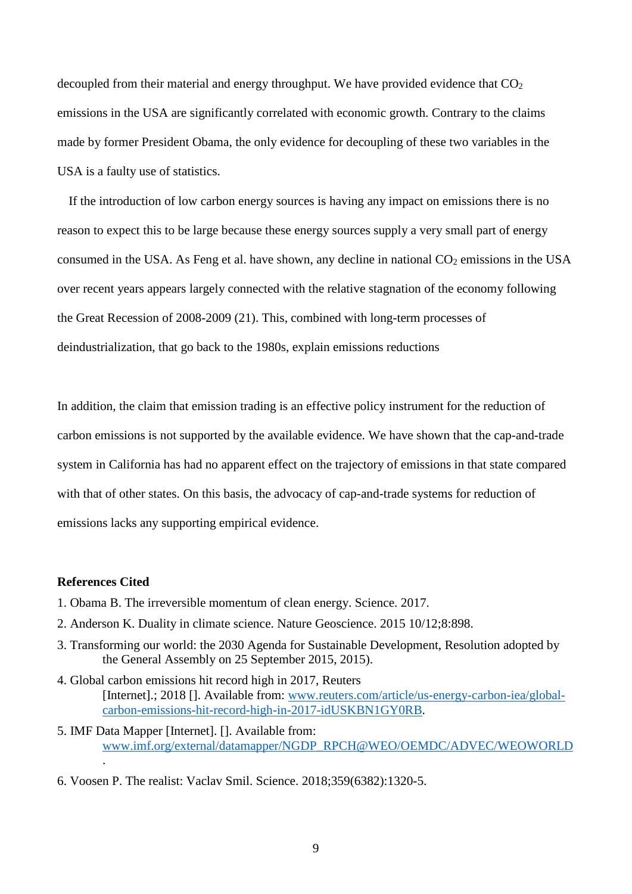decoupled from their material and energy throughput. We have provided evidence that  $CO<sub>2</sub>$ emissions in the USA are significantly correlated with economic growth. Contrary to the claims made by former President Obama, the only evidence for decoupling of these two variables in the USA is a faulty use of statistics.

If the introduction of low carbon energy sources is having any impact on emissions there is no reason to expect this to be large because these energy sources supply a very small part of energy consumed in the USA. As Feng et al. have shown, any decline in national  $CO<sub>2</sub>$  emissions in the USA over recent years appears largely connected with the relative stagnation of the economy following the Great Recession of 2008-2009 (21). This, combined with long-term processes of deindustrialization, that go back to the 1980s, explain emissions reductions

In addition, the claim that emission trading is an effective policy instrument for the reduction of carbon emissions is not supported by the available evidence. We have shown that the cap-and-trade system in California has had no apparent effect on the trajectory of emissions in that state compared with that of other states. On this basis, the advocacy of cap-and-trade systems for reduction of emissions lacks any supporting empirical evidence.

## **References Cited**

.

- 1. Obama B. The irreversible momentum of clean energy. Science. 2017.
- 2. Anderson K. Duality in climate science. Nature Geoscience. 2015 10/12;8:898.
- 3. Transforming our world: the 2030 Agenda for Sustainable Development, Resolution adopted by the General Assembly on 25 September 2015, 2015).
- 4. Global carbon emissions hit record high in 2017, Reuters [Internet].; 2018 []. Available from: [www.reuters.com/article/us-energy-carbon-iea/global](http://www.reuters.com/article/us-energy-carbon-iea/global-carbon-emissions-hit-record-high-in-2017-idUSKBN1GY0RB)[carbon-emissions-hit-record-high-in-2017-idUSKBN1GY0RB.](http://www.reuters.com/article/us-energy-carbon-iea/global-carbon-emissions-hit-record-high-in-2017-idUSKBN1GY0RB)
- 5. IMF Data Mapper [Internet]. []. Available from: [www.imf.org/external/datamapper/NGDP\\_RPCH@WEO/OEMDC/ADVEC/WEOWORLD](http://www.imf.org/external/datamapper/NGDP_RPCH@WEO/OEMDC/ADVEC/WEOWORLD)
- 6. Voosen P. The realist: Vaclav Smil. Science. 2018;359(6382):1320-5.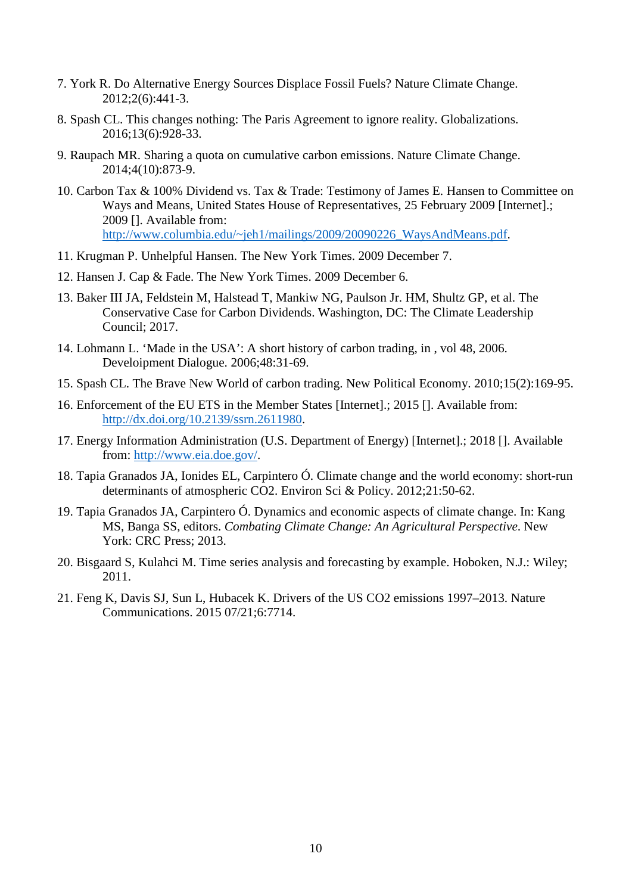- 7. York R. Do Alternative Energy Sources Displace Fossil Fuels? Nature Climate Change. 2012;2(6):441-3.
- 8. Spash CL. This changes nothing: The Paris Agreement to ignore reality. Globalizations. 2016;13(6):928-33.
- 9. Raupach MR. Sharing a quota on cumulative carbon emissions. Nature Climate Change. 2014;4(10):873-9.
- 10. Carbon Tax & 100% Dividend vs. Tax & Trade: Testimony of James E. Hansen to Committee on Ways and Means, United States House of Representatives, 25 February 2009 [Internet].; 2009 []. Available from: [http://www.columbia.edu/~jeh1/mailings/2009/20090226\\_WaysAndMeans.pdf.](http://www.columbia.edu/%7Ejeh1/mailings/2009/20090226_WaysAndMeans.pdf)
- 11. Krugman P. Unhelpful Hansen. The New York Times. 2009 December 7.
- 12. Hansen J. Cap & Fade. The New York Times. 2009 December 6.
- 13. Baker III JA, Feldstein M, Halstead T, Mankiw NG, Paulson Jr. HM, Shultz GP, et al. The Conservative Case for Carbon Dividends. Washington, DC: The Climate Leadership Council; 2017.
- 14. Lohmann L. 'Made in the USA': A short history of carbon trading, in , vol 48, 2006. Develoipment Dialogue. 2006;48:31-69.
- 15. Spash CL. The Brave New World of carbon trading. New Political Economy. 2010;15(2):169-95.
- 16. Enforcement of the EU ETS in the Member States [Internet].; 2015 []. Available from: [http://dx.doi.org/10.2139/ssrn.2611980.](http://dx.doi.org/10.2139/ssrn.2611980)
- 17. Energy Information Administration (U.S. Department of Energy) [Internet].; 2018 []. Available from: [http://www.eia.doe.gov/.](http://www.eia.doe.gov/)
- 18. Tapia Granados JA, Ionides EL, Carpintero Ó. Climate change and the world economy: short-run determinants of atmospheric CO2. Environ Sci & Policy. 2012;21:50-62.
- 19. Tapia Granados JA, Carpintero Ó. Dynamics and economic aspects of climate change. In: Kang MS, Banga SS, editors. *Combating Climate Change: An Agricultural Perspective*. New York: CRC Press; 2013.
- 20. Bisgaard S, Kulahci M. Time series analysis and forecasting by example. Hoboken, N.J.: Wiley; 2011.
- 21. Feng K, Davis SJ, Sun L, Hubacek K. Drivers of the US CO2 emissions 1997–2013. Nature Communications. 2015 07/21;6:7714.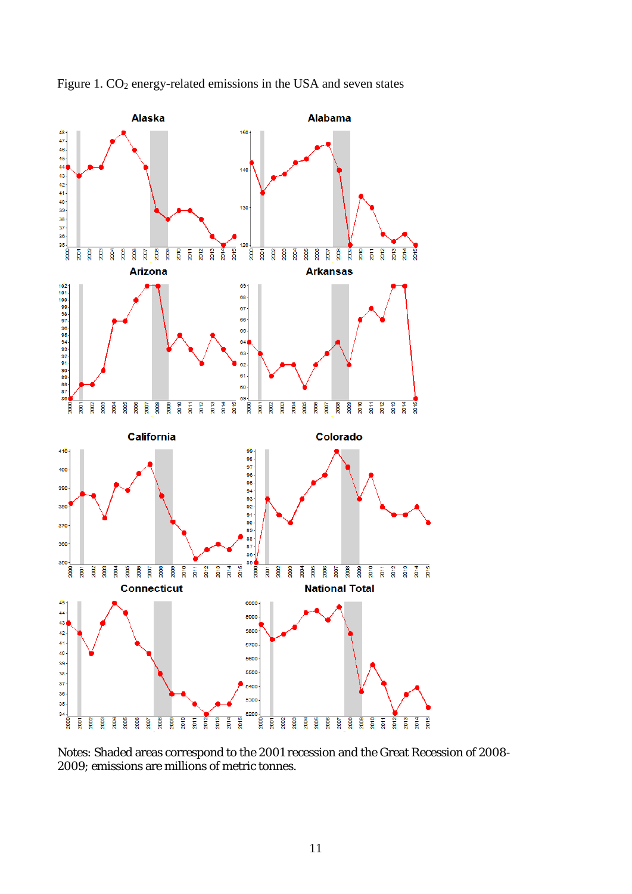

Figure 1. CO<sub>2</sub> energy-related emissions in the USA and seven states

Notes: Shaded areas correspond to the 2001 recession and the Great Recession of 2008- 2009; emissions are millions of metric tonnes.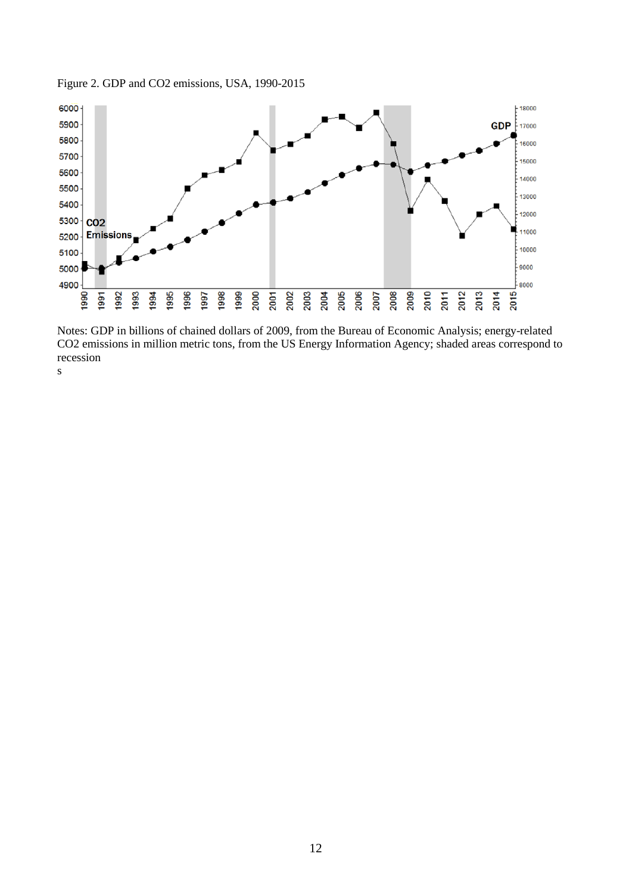



Notes: GDP in billions of chained dollars of 2009, from the Bureau of Economic Analysis; energy-related CO2 emissions in million metric tons, from the US Energy Information Agency; shaded areas correspond to recession

s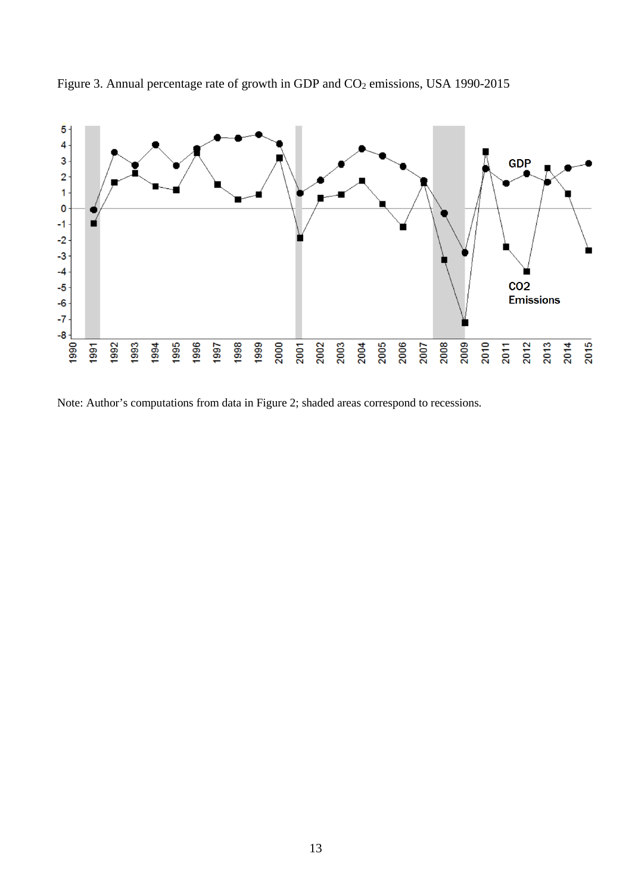

Figure 3. Annual percentage rate of growth in GDP and CO<sub>2</sub> emissions, USA 1990-2015

Note: Author's computations from data in Figure 2; shaded areas correspond to recessions.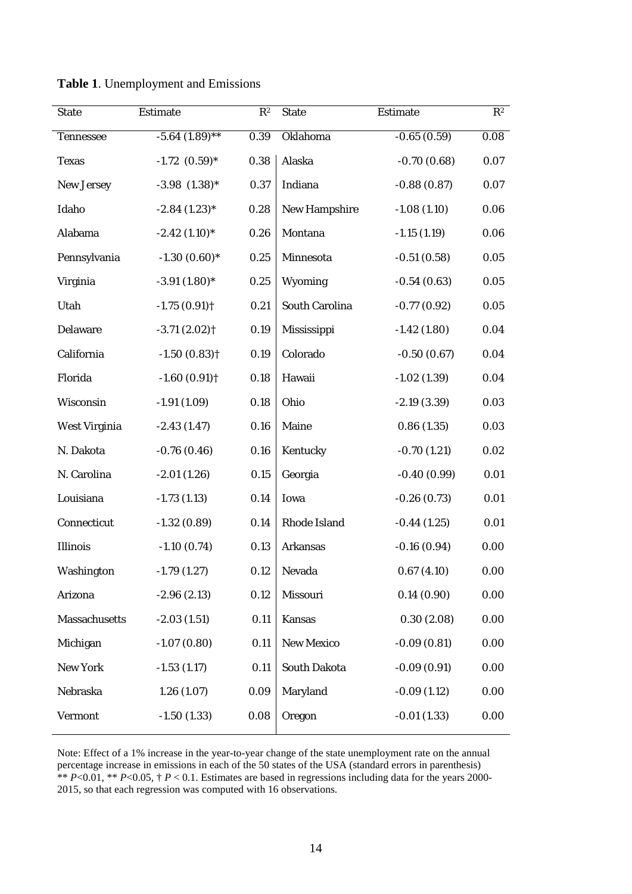| <b>State</b>         | <b>Estimate</b>            | $R^2$    | <b>State</b>         | <b>Estimate</b> | $R^2$    |
|----------------------|----------------------------|----------|----------------------|-----------------|----------|
| <b>Tennessee</b>     | $-5.64(1.89)$ **           | 0.39     | Oklahoma             | $-0.65(0.59)$   | 0.08     |
| <b>Texas</b>         | $-1.72$ $(0.59)*$          | $0.38\,$ | Alaska               | $-0.70(0.68)$   | 0.07     |
| <b>New Jersey</b>    | $-3.98$ $(1.38)^*$         | 0.37     | Indiana              | $-0.88(0.87)$   | 0.07     |
| Idaho                | $-2.84(1.23)$ *            | 0.28     | <b>New Hampshire</b> | $-1.08(1.10)$   | 0.06     |
| Alabama              | $-2.42(1.10)*$             | 0.26     | Montana              | $-1.15(1.19)$   | 0.06     |
| Pennsylvania         | $-1.30(0.60)*$             | 0.25     | Minnesota            | $-0.51(0.58)$   | 0.05     |
| Virginia             | $-3.91(1.80)$ *            | 0.25     | Wyoming              | $-0.54(0.63)$   | $0.05\,$ |
| Utah                 | $-1.75(0.91)$              | 0.21     | South Carolina       | $-0.77(0.92)$   | 0.05     |
| Delaware             | $-3.71(2.02)$ <sup>†</sup> | 0.19     | Mississippi          | $-1.42(1.80)$   | 0.04     |
| California           | $-1.50(0.83)$ <sup>†</sup> | 0.19     | Colorado             | $-0.50(0.67)$   | 0.04     |
| Florida              | $-1.60(0.91)$              | 0.18     | Hawaii               | $-1.02(1.39)$   | 0.04     |
| Wisconsin            | $-1.91(1.09)$              | 0.18     | Ohio                 | $-2.19(3.39)$   | 0.03     |
| West Virginia        | $-2.43(1.47)$              | 0.16     | Maine                | 0.86(1.35)      | 0.03     |
| N. Dakota            | $-0.76(0.46)$              | 0.16     | Kentucky             | $-0.70(1.21)$   | 0.02     |
| N. Carolina          | $-2.01(1.26)$              | 0.15     | Georgia              | $-0.40(0.99)$   | 0.01     |
| Louisiana            | $-1.73(1.13)$              | 0.14     | Iowa                 | $-0.26(0.73)$   | 0.01     |
| Connecticut          | $-1.32(0.89)$              | 0.14     | Rhode Island         | $-0.44(1.25)$   | 0.01     |
| Illinois             | $-1.10(0.74)$              | 0.13     | <b>Arkansas</b>      | $-0.16(0.94)$   | 0.00     |
| Washington           | $-1.79(1.27)$              | 0.12     | Nevada               | 0.67(4.10)      | 0.00     |
| Arizona              | $-2.96(2.13)$              | 0.12     | Missouri             | 0.14(0.90)      | 0.00     |
| <b>Massachusetts</b> | $-2.03(1.51)$              | 0.11     | <b>Kansas</b>        | 0.30(2.08)      | 0.00     |
| Michigan             | $-1.07(0.80)$              | 0.11     | <b>New Mexico</b>    | $-0.09(0.81)$   | 0.00     |
| <b>New York</b>      | $-1.53(1.17)$              | 0.11     | <b>South Dakota</b>  | $-0.09(0.91)$   | 0.00     |
| Nebraska             | 1.26(1.07)                 | 0.09     | Maryland             | $-0.09(1.12)$   | 0.00     |
| Vermont              | $-1.50(1.33)$              | 0.08     | Oregon               | $-0.01(1.33)$   | 0.00     |

**Table 1**. Unemployment and Emissions

Note: Effect of a 1% increase in the year-to-year change of the state unemployment rate on the annual percentage increase in emissions in each of the 50 states of the USA (standard errors in parenthesis) \*\*  $P<0.01$ , \*\*  $P<0.05$ , †  $P<0.1$ . Estimates are based in regressions including data for the years 2000-2015, so that each regression was computed with 16 observations.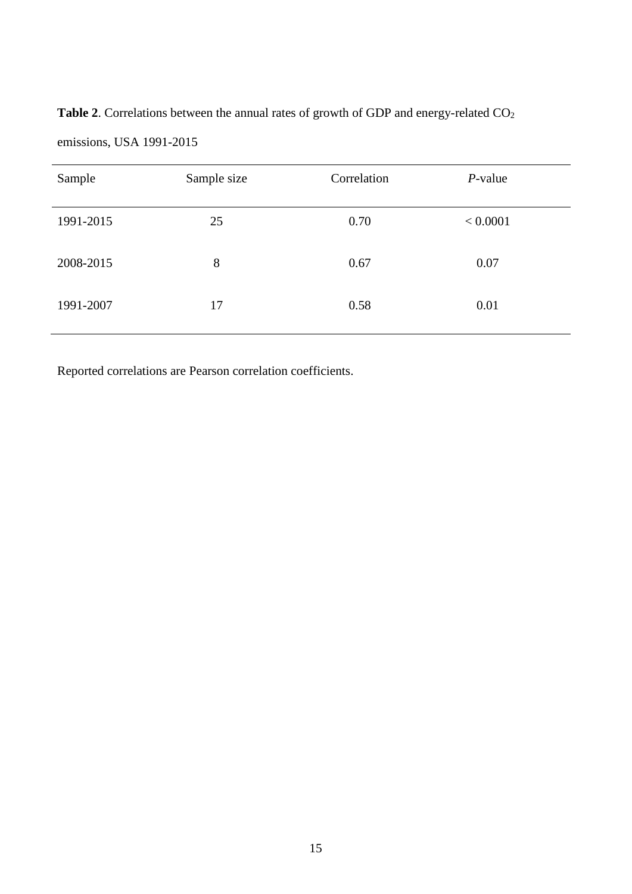Table 2. Correlations between the annual rates of growth of GDP and energy-related CO<sub>2</sub> emissions, USA 1991-2015

| Sample    | Sample size | Correlation | $P$ -value |
|-----------|-------------|-------------|------------|
| 1991-2015 | 25          | 0.70        | < 0.0001   |
| 2008-2015 | 8           | 0.67        | 0.07       |
| 1991-2007 | 17          | 0.58        | 0.01       |

Reported correlations are Pearson correlation coefficients.